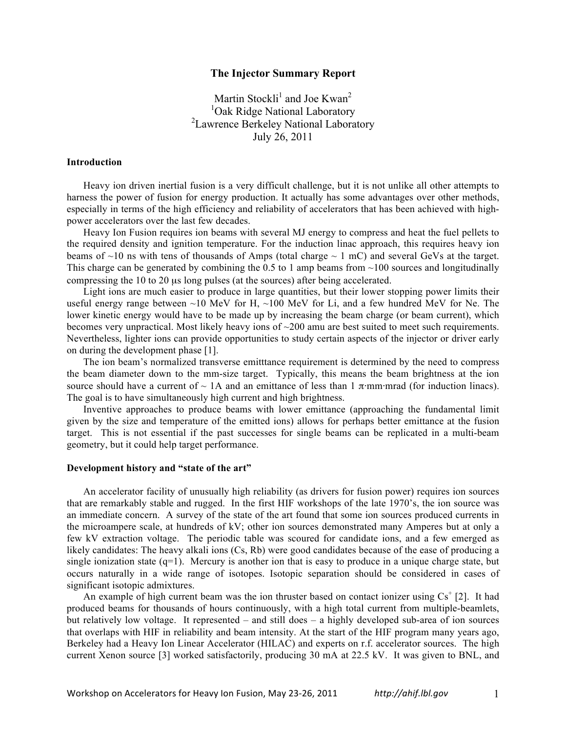# **The Injector Summary Report**

Martin Stockli<sup>1</sup> and Joe Kwan<sup>2</sup> <sup>1</sup>Oak Ridge National Laboratory <sup>2</sup> Lawrence Berkeley National Laboratory July 26, 2011

#### **Introduction**

Heavy ion driven inertial fusion is a very difficult challenge, but it is not unlike all other attempts to harness the power of fusion for energy production. It actually has some advantages over other methods, especially in terms of the high efficiency and reliability of accelerators that has been achieved with highpower accelerators over the last few decades.

Heavy Ion Fusion requires ion beams with several MJ energy to compress and heat the fuel pellets to the required density and ignition temperature. For the induction linac approach, this requires heavy ion beams of  $\sim$ 10 ns with tens of thousands of Amps (total charge  $\sim$  1 mC) and several GeVs at the target. This charge can be generated by combining the 0.5 to 1 amp beams from  $\sim$ 100 sources and longitudinally compressing the 10 to 20 µs long pulses (at the sources) after being accelerated.

Light ions are much easier to produce in large quantities, but their lower stopping power limits their useful energy range between  $\sim$ 10 MeV for H,  $\sim$ 100 MeV for Li, and a few hundred MeV for Ne. The lower kinetic energy would have to be made up by increasing the beam charge (or beam current), which becomes very unpractical. Most likely heavy ions of  $\sim 200$  amu are best suited to meet such requirements. Nevertheless, lighter ions can provide opportunities to study certain aspects of the injector or driver early on during the development phase [1].

The ion beam's normalized transverse emitttance requirement is determined by the need to compress the beam diameter down to the mm-size target. Typically, this means the beam brightness at the ion source should have a current of ~ 1A and an emittance of less than 1  $\pi$ ⋅mm⋅mrad (for induction linacs). The goal is to have simultaneously high current and high brightness.

Inventive approaches to produce beams with lower emittance (approaching the fundamental limit given by the size and temperature of the emitted ions) allows for perhaps better emittance at the fusion target. This is not essential if the past successes for single beams can be replicated in a multi-beam geometry, but it could help target performance.

## **Development history and "state of the art"**

An accelerator facility of unusually high reliability (as drivers for fusion power) requires ion sources that are remarkably stable and rugged. In the first HIF workshops of the late 1970's, the ion source was an immediate concern. A survey of the state of the art found that some ion sources produced currents in the microampere scale, at hundreds of kV; other ion sources demonstrated many Amperes but at only a few kV extraction voltage. The periodic table was scoured for candidate ions, and a few emerged as likely candidates: The heavy alkali ions (Cs, Rb) were good candidates because of the ease of producing a single ionization state  $(q=1)$ . Mercury is another ion that is easy to produce in a unique charge state, but occurs naturally in a wide range of isotopes. Isotopic separation should be considered in cases of significant isotopic admixtures.

An example of high current beam was the ion thruster based on contact ionizer using  $Cs<sup>+</sup>$  [2]. It had produced beams for thousands of hours continuously, with a high total current from multiple-beamlets, but relatively low voltage. It represented – and still does – a highly developed sub-area of ion sources that overlaps with HIF in reliability and beam intensity. At the start of the HIF program many years ago, Berkeley had a Heavy Ion Linear Accelerator (HILAC) and experts on r.f. accelerator sources. The high current Xenon source [3] worked satisfactorily, producing 30 mA at 22.5 kV. It was given to BNL, and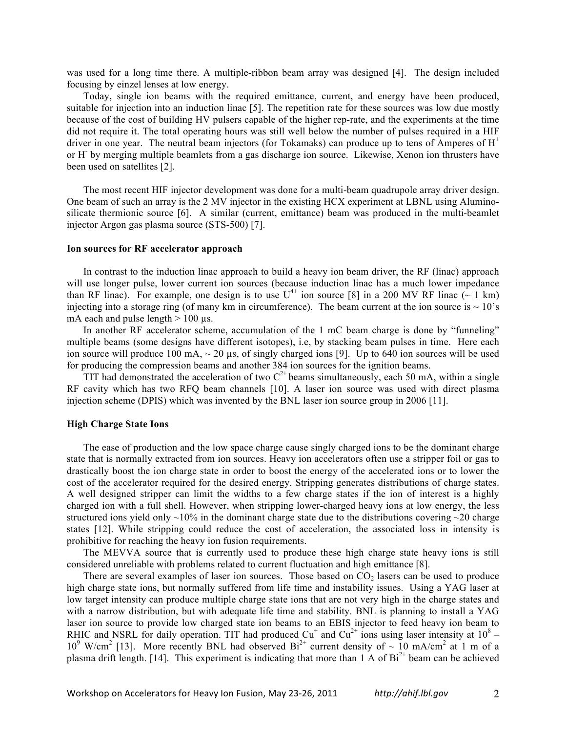was used for a long time there. A multiple-ribbon beam array was designed [4]. The design included focusing by einzel lenses at low energy.

Today, single ion beams with the required emittance, current, and energy have been produced, suitable for injection into an induction linac [5]. The repetition rate for these sources was low due mostly because of the cost of building HV pulsers capable of the higher rep-rate, and the experiments at the time did not require it. The total operating hours was still well below the number of pulses required in a HIF driver in one year. The neutral beam injectors (for Tokamaks) can produce up to tens of Amperes of  $H^+$ or H- by merging multiple beamlets from a gas discharge ion source. Likewise, Xenon ion thrusters have been used on satellites [2].

The most recent HIF injector development was done for a multi-beam quadrupole array driver design. One beam of such an array is the 2 MV injector in the existing HCX experiment at LBNL using Aluminosilicate thermionic source [6]. A similar (current, emittance) beam was produced in the multi-beamlet injector Argon gas plasma source (STS-500) [7].

#### **Ion sources for RF accelerator approach**

In contrast to the induction linac approach to build a heavy ion beam driver, the RF (linac) approach will use longer pulse, lower current ion sources (because induction linac has a much lower impedance than RF linac). For example, one design is to use  $U^{4+}$  ion source [8] in a 200 MV RF linac ( $\sim 1$  km) injecting into a storage ring (of many km in circumference). The beam current at the ion source is  $\sim 10$ 's mA each and pulse length  $> 100$  µs.

In another RF accelerator scheme, accumulation of the 1 mC beam charge is done by "funneling" multiple beams (some designs have different isotopes), i.e, by stacking beam pulses in time. Here each ion source will produce 100 mA,  $\sim$  20 us, of singly charged ions [9]. Up to 640 ion sources will be used for producing the compression beams and another 384 ion sources for the ignition beams.

TIT had demonstrated the acceleration of two  $C^{2+}$  beams simultaneously, each 50 mA, within a single RF cavity which has two RFQ beam channels [10]. A laser ion source was used with direct plasma injection scheme (DPIS) which was invented by the BNL laser ion source group in 2006 [11].

# **High Charge State Ions**

The ease of production and the low space charge cause singly charged ions to be the dominant charge state that is normally extracted from ion sources. Heavy ion accelerators often use a stripper foil or gas to drastically boost the ion charge state in order to boost the energy of the accelerated ions or to lower the cost of the accelerator required for the desired energy. Stripping generates distributions of charge states. A well designed stripper can limit the widths to a few charge states if the ion of interest is a highly charged ion with a full shell. However, when stripping lower-charged heavy ions at low energy, the less structured ions yield only  $\sim$ 10% in the dominant charge state due to the distributions covering  $\sim$ 20 charge states [12]. While stripping could reduce the cost of acceleration, the associated loss in intensity is prohibitive for reaching the heavy ion fusion requirements.

The MEVVA source that is currently used to produce these high charge state heavy ions is still considered unreliable with problems related to current fluctuation and high emittance [8].

There are several examples of laser ion sources. Those based on  $CO<sub>2</sub>$  lasers can be used to produce high charge state ions, but normally suffered from life time and instability issues. Using a YAG laser at low target intensity can produce multiple charge state ions that are not very high in the charge states and with a narrow distribution, but with adequate life time and stability. BNL is planning to install a YAG laser ion source to provide low charged state ion beams to an EBIS injector to feed heavy ion beam to RHIC and NSRL for daily operation. TIT had produced  $Cu^+$  and  $Cu^{2+}$  ions using laser intensity at  $10^8$  – 10<sup>9</sup> W/cm<sup>2</sup> [13]. More recently BNL had observed  $Bi^{2+}$  current density of  $\sim 10$  mA/cm<sup>2</sup> at 1 m of a plasma drift length. [14]. This experiment is indicating that more than 1 A of  $Bi^{2+}$  beam can be achieved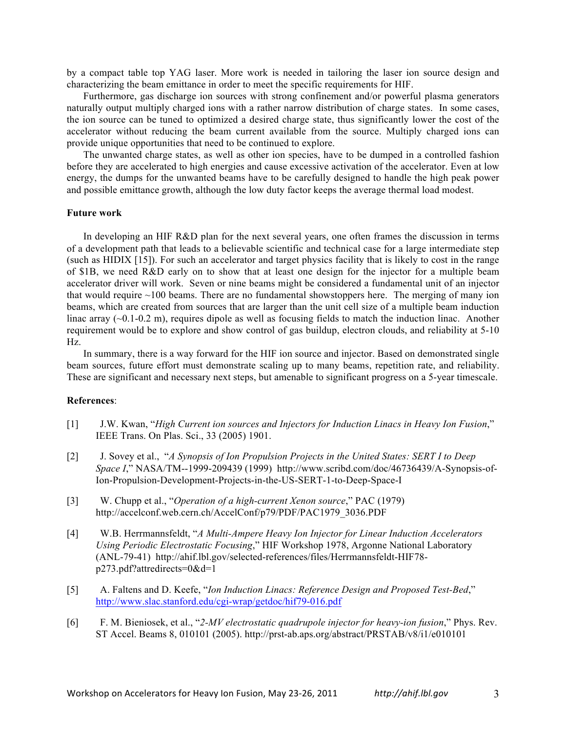by a compact table top YAG laser. More work is needed in tailoring the laser ion source design and characterizing the beam emittance in order to meet the specific requirements for HIF.

Furthermore, gas discharge ion sources with strong confinement and/or powerful plasma generators naturally output multiply charged ions with a rather narrow distribution of charge states. In some cases, the ion source can be tuned to optimized a desired charge state, thus significantly lower the cost of the accelerator without reducing the beam current available from the source. Multiply charged ions can provide unique opportunities that need to be continued to explore.

The unwanted charge states, as well as other ion species, have to be dumped in a controlled fashion before they are accelerated to high energies and cause excessive activation of the accelerator. Even at low energy, the dumps for the unwanted beams have to be carefully designed to handle the high peak power and possible emittance growth, although the low duty factor keeps the average thermal load modest.

# **Future work**

In developing an HIF R&D plan for the next several years, one often frames the discussion in terms of a development path that leads to a believable scientific and technical case for a large intermediate step (such as HIDIX [15]). For such an accelerator and target physics facility that is likely to cost in the range of \$1B, we need R&D early on to show that at least one design for the injector for a multiple beam accelerator driver will work. Seven or nine beams might be considered a fundamental unit of an injector that would require ~100 beams. There are no fundamental showstoppers here. The merging of many ion beams, which are created from sources that are larger than the unit cell size of a multiple beam induction linac array  $(\sim 0.1$ -0.2 m), requires dipole as well as focusing fields to match the induction linac. Another requirement would be to explore and show control of gas buildup, electron clouds, and reliability at 5-10 Hz.

In summary, there is a way forward for the HIF ion source and injector. Based on demonstrated single beam sources, future effort must demonstrate scaling up to many beams, repetition rate, and reliability. These are significant and necessary next steps, but amenable to significant progress on a 5-year timescale.

#### **References**:

- [1] J.W. Kwan, "*High Current ion sources and Injectors for Induction Linacs in Heavy Ion Fusion*," IEEE Trans. On Plas. Sci., 33 (2005) 1901.
- [2] J. Sovey et al., "*A Synopsis of Ion Propulsion Projects in the United States: SERT I to Deep Space I*," NASA/TM--1999-209439 (1999) http://www.scribd.com/doc/46736439/A-Synopsis-of-Ion-Propulsion-Development-Projects-in-the-US-SERT-1-to-Deep-Space-I
- [3] W. Chupp et al., "*Operation of a high-current Xenon source*," PAC (1979) http://accelconf.web.cern.ch/AccelConf/p79/PDF/PAC1979\_3036.PDF
- [4] W.B. Herrmannsfeldt, "*A Multi-Ampere Heavy Ion Injector for Linear Induction Accelerators Using Periodic Electrostatic Focusing*," HIF Workshop 1978, Argonne National Laboratory (ANL-79-41) http://ahif.lbl.gov/selected-references/files/Herrmannsfeldt-HIF78 p273.pdf?attredirects=0&d=1
- [5] A. Faltens and D. Keefe, "*Ion Induction Linacs: Reference Design and Proposed Test-Bed*," http://www.slac.stanford.edu/cgi-wrap/getdoc/hif79-016.pdf
- [6] F. M. Bieniosek, et al., "*2-MV electrostatic quadrupole injector for heavy-ion fusion*," Phys. Rev. ST Accel. Beams 8, 010101 (2005). http://prst-ab.aps.org/abstract/PRSTAB/v8/i1/e010101